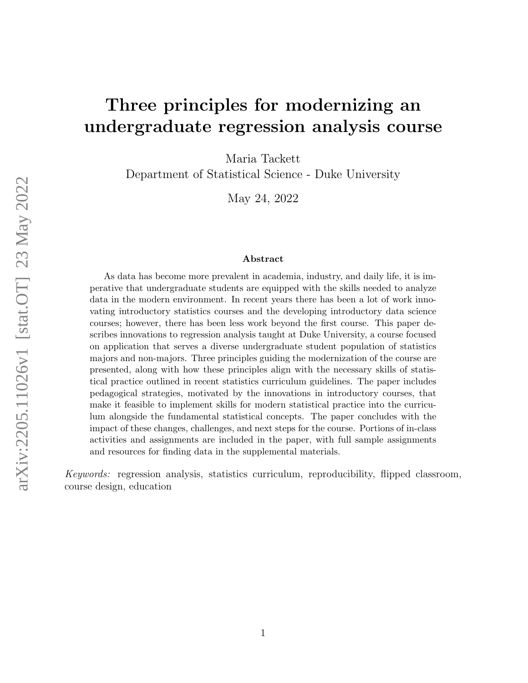# Three principles for modernizing an undergraduate regression analysis course

Maria Tackett

Department of Statistical Science - Duke University

May 24, 2022

#### Abstract

As data has become more prevalent in academia, industry, and daily life, it is imperative that undergraduate students are equipped with the skills needed to analyze data in the modern environment. In recent years there has been a lot of work innovating introductory statistics courses and the developing introductory data science courses; however, there has been less work beyond the first course. This paper describes innovations to regression analysis taught at Duke University, a course focused on application that serves a diverse undergraduate student population of statistics majors and non-majors. Three principles guiding the modernization of the course are presented, along with how these principles align with the necessary skills of statistical practice outlined in recent statistics curriculum guidelines. The paper includes pedagogical strategies, motivated by the innovations in introductory courses, that make it feasible to implement skills for modern statistical practice into the curriculum alongside the fundamental statistical concepts. The paper concludes with the impact of these changes, challenges, and next steps for the course. Portions of in-class activities and assignments are included in the paper, with full sample assignments and resources for finding data in the supplemental materials.

Keywords: regression analysis, statistics curriculum, reproducibility, flipped classroom, course design, education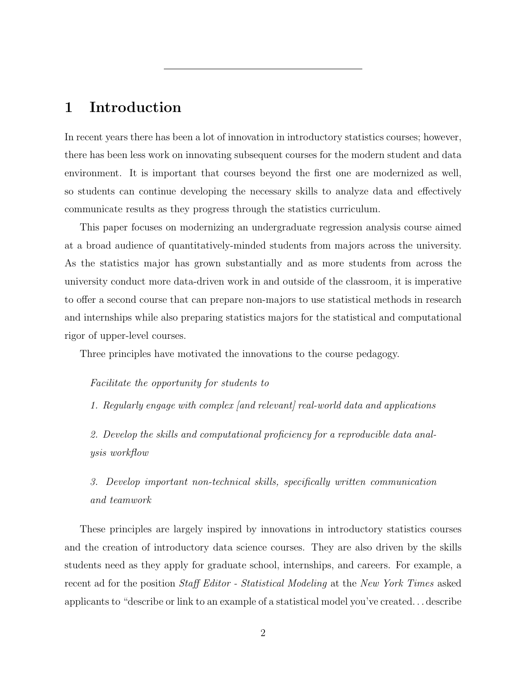# 1 Introduction

In recent years there has been a lot of innovation in introductory statistics courses; however, there has been less work on innovating subsequent courses for the modern student and data environment. It is important that courses beyond the first one are modernized as well, so students can continue developing the necessary skills to analyze data and effectively communicate results as they progress through the statistics curriculum.

This paper focuses on modernizing an undergraduate regression analysis course aimed at a broad audience of quantitatively-minded students from majors across the university. As the statistics major has grown substantially and as more students from across the university conduct more data-driven work in and outside of the classroom, it is imperative to offer a second course that can prepare non-majors to use statistical methods in research and internships while also preparing statistics majors for the statistical and computational rigor of upper-level courses.

Three principles have motivated the innovations to the course pedagogy.

### Facilitate the opportunity for students to

1. Regularly engage with complex [and relevant] real-world data and applications

2. Develop the skills and computational proficiency for a reproducible data analysis workflow

3. Develop important non-technical skills, specifically written communication and teamwork

These principles are largely inspired by innovations in introductory statistics courses and the creation of introductory data science courses. They are also driven by the skills students need as they apply for graduate school, internships, and careers. For example, a recent ad for the position Staff Editor - Statistical Modeling at the New York Times asked applicants to "describe or link to an example of a statistical model you've created. . . describe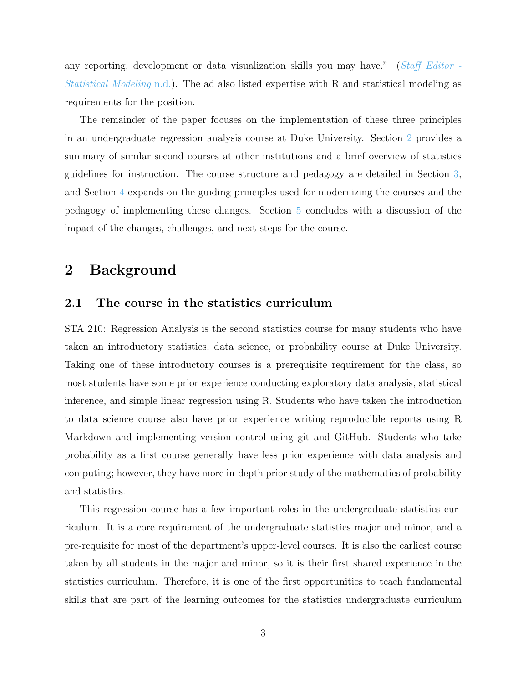any reporting, development or data visualization skills you may have." ([Staff Editor -](#page-28-0) [Statistical Modeling](#page-28-0) [n.d.\)](#page-28-0). The ad also listed expertise with R and statistical modeling as requirements for the position.

The remainder of the paper focuses on the implementation of these three principles in an undergraduate regression analysis course at Duke University. Section [2](#page-2-0) provides a summary of similar second courses at other institutions and a brief overview of statistics guidelines for instruction. The course structure and pedagogy are detailed in Section [3,](#page-6-0) and Section [4](#page-9-0) expands on the guiding principles used for modernizing the courses and the pedagogy of implementing these changes. Section [5](#page-22-0) concludes with a discussion of the impact of the changes, challenges, and next steps for the course.

# <span id="page-2-0"></span>2 Background

### 2.1 The course in the statistics curriculum

STA 210: Regression Analysis is the second statistics course for many students who have taken an introductory statistics, data science, or probability course at Duke University. Taking one of these introductory courses is a prerequisite requirement for the class, so most students have some prior experience conducting exploratory data analysis, statistical inference, and simple linear regression using R. Students who have taken the introduction to data science course also have prior experience writing reproducible reports using R Markdown and implementing version control using git and GitHub. Students who take probability as a first course generally have less prior experience with data analysis and computing; however, they have more in-depth prior study of the mathematics of probability and statistics.

This regression course has a few important roles in the undergraduate statistics curriculum. It is a core requirement of the undergraduate statistics major and minor, and a pre-requisite for most of the department's upper-level courses. It is also the earliest course taken by all students in the major and minor, so it is their first shared experience in the statistics curriculum. Therefore, it is one of the first opportunities to teach fundamental skills that are part of the learning outcomes for the statistics undergraduate curriculum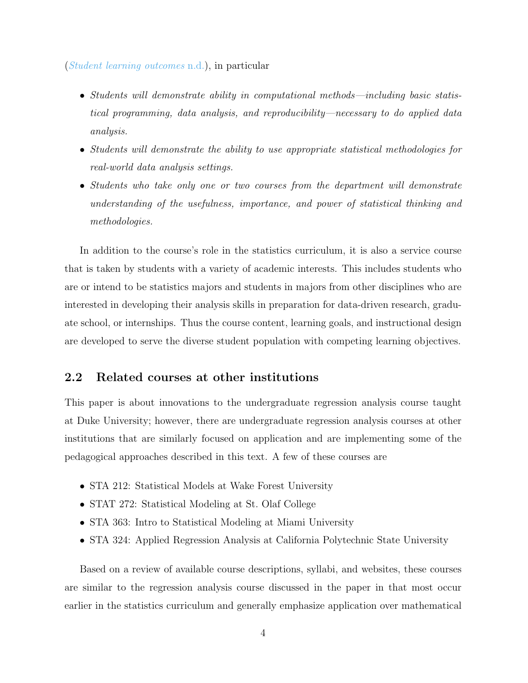### ([Student learning outcomes](#page-28-1) [n.d.\)](#page-28-1), in particular

- Students will demonstrate ability in computational methods—including basic statistical programming, data analysis, and reproducibility—necessary to do applied data analysis.
- Students will demonstrate the ability to use appropriate statistical methodologies for real-world data analysis settings.
- Students who take only one or two courses from the department will demonstrate understanding of the usefulness, importance, and power of statistical thinking and methodologies.

In addition to the course's role in the statistics curriculum, it is also a service course that is taken by students with a variety of academic interests. This includes students who are or intend to be statistics majors and students in majors from other disciplines who are interested in developing their analysis skills in preparation for data-driven research, graduate school, or internships. Thus the course content, learning goals, and instructional design are developed to serve the diverse student population with competing learning objectives.

### 2.2 Related courses at other institutions

This paper is about innovations to the undergraduate regression analysis course taught at Duke University; however, there are undergraduate regression analysis courses at other institutions that are similarly focused on application and are implementing some of the pedagogical approaches described in this text. A few of these courses are

- STA 212: Statistical Models at Wake Forest University
- STAT 272: Statistical Modeling at St. Olaf College
- STA 363: Intro to Statistical Modeling at Miami University
- STA 324: Applied Regression Analysis at California Polytechnic State University

Based on a review of available course descriptions, syllabi, and websites, these courses are similar to the regression analysis course discussed in the paper in that most occur earlier in the statistics curriculum and generally emphasize application over mathematical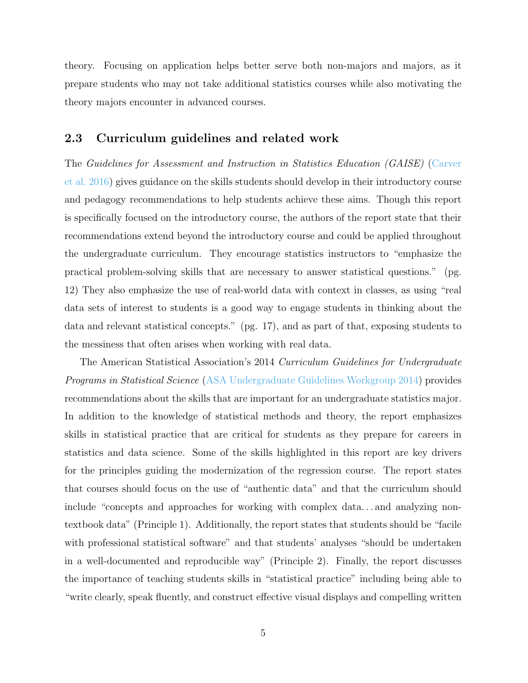theory. Focusing on application helps better serve both non-majors and majors, as it prepare students who may not take additional statistics courses while also motivating the theory majors encounter in advanced courses.

## 2.3 Curriculum guidelines and related work

The Guidelines for Assessment and Instruction in Statistics Education (GAISE) [\(Carver](#page-27-0) [et al.](#page-27-0) [2016\)](#page-27-0) gives guidance on the skills students should develop in their introductory course and pedagogy recommendations to help students achieve these aims. Though this report is specifically focused on the introductory course, the authors of the report state that their recommendations extend beyond the introductory course and could be applied throughout the undergraduate curriculum. They encourage statistics instructors to "emphasize the practical problem-solving skills that are necessary to answer statistical questions." (pg. 12) They also emphasize the use of real-world data with context in classes, as using "real data sets of interest to students is a good way to engage students in thinking about the data and relevant statistical concepts." (pg. 17), and as part of that, exposing students to the messiness that often arises when working with real data.

The American Statistical Association's 2014 Curriculum Guidelines for Undergraduate Programs in Statistical Science [\(ASA Undergraduate Guidelines Workgroup](#page-26-0) [2014\)](#page-26-0) provides recommendations about the skills that are important for an undergraduate statistics major. In addition to the knowledge of statistical methods and theory, the report emphasizes skills in statistical practice that are critical for students as they prepare for careers in statistics and data science. Some of the skills highlighted in this report are key drivers for the principles guiding the modernization of the regression course. The report states that courses should focus on the use of "authentic data" and that the curriculum should include "concepts and approaches for working with complex data. . . and analyzing nontextbook data" (Principle 1). Additionally, the report states that students should be "facile with professional statistical software" and that students' analyses "should be undertaken in a well-documented and reproducible way" (Principle 2). Finally, the report discusses the importance of teaching students skills in "statistical practice" including being able to "write clearly, speak fluently, and construct effective visual displays and compelling written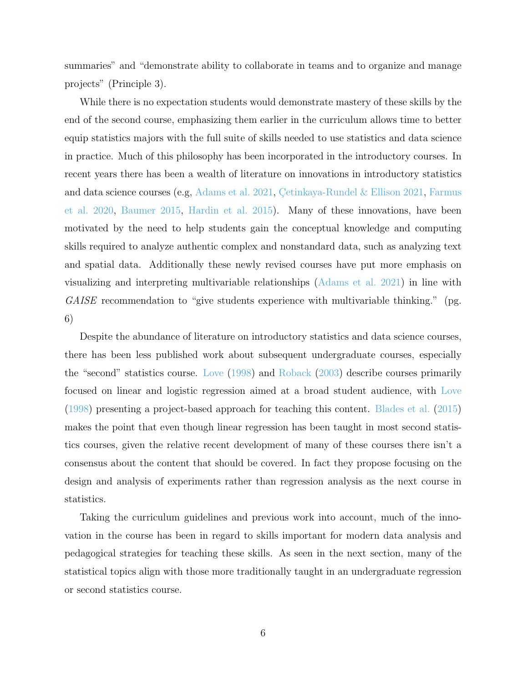summaries" and "demonstrate ability to collaborate in teams and to organize and manage projects" (Principle 3).

While there is no expectation students would demonstrate mastery of these skills by the end of the second course, emphasizing them earlier in the curriculum allows time to better equip statistics majors with the full suite of skills needed to use statistics and data science in practice. Much of this philosophy has been incorporated in the introductory courses. In recent years there has been a wealth of literature on innovations in introductory statistics and data science courses (e.g,  $\Lambda$ dams et al. [2021,](#page-27-1) Çetinkaya-Rundel & Ellison 2021, [Farmus](#page-27-2) [et al.](#page-27-2) [2020,](#page-27-2) [Baumer](#page-26-2) [2015,](#page-26-2) [Hardin et al.](#page-27-3) [2015\)](#page-27-3). Many of these innovations, have been motivated by the need to help students gain the conceptual knowledge and computing skills required to analyze authentic complex and nonstandard data, such as analyzing text and spatial data. Additionally these newly revised courses have put more emphasis on visualizing and interpreting multivariable relationships [\(Adams et al.](#page-26-1) [2021\)](#page-26-1) in line with GAISE recommendation to "give students experience with multivariable thinking." (pg. 6)

Despite the abundance of literature on introductory statistics and data science courses, there has been less published work about subsequent undergraduate courses, especially the "second" statistics course. [Love](#page-28-2) [\(1998\)](#page-28-2) and [Roback](#page-28-3) [\(2003\)](#page-28-3) describe courses primarily focused on linear and logistic regression aimed at a broad student audience, with [Love](#page-28-2) [\(1998\)](#page-28-2) presenting a project-based approach for teaching this content. [Blades et al.](#page-27-4) [\(2015\)](#page-27-4) makes the point that even though linear regression has been taught in most second statistics courses, given the relative recent development of many of these courses there isn't a consensus about the content that should be covered. In fact they propose focusing on the design and analysis of experiments rather than regression analysis as the next course in statistics.

Taking the curriculum guidelines and previous work into account, much of the innovation in the course has been in regard to skills important for modern data analysis and pedagogical strategies for teaching these skills. As seen in the next section, many of the statistical topics align with those more traditionally taught in an undergraduate regression or second statistics course.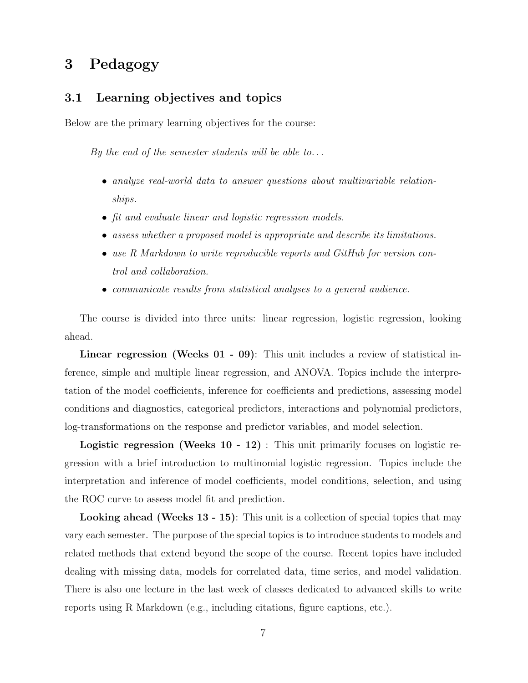# <span id="page-6-0"></span>3 Pedagogy

## 3.1 Learning objectives and topics

Below are the primary learning objectives for the course:

By the end of the semester students will be able to...

- analyze real-world data to answer questions about multivariable relationships.
- fit and evaluate linear and logistic regression models.
- assess whether a proposed model is appropriate and describe its limitations.
- use R Markdown to write reproducible reports and GitHub for version control and collaboration.
- communicate results from statistical analyses to a general audience.

The course is divided into three units: linear regression, logistic regression, looking ahead.

Linear regression (Weeks 01 - 09): This unit includes a review of statistical inference, simple and multiple linear regression, and ANOVA. Topics include the interpretation of the model coefficients, inference for coefficients and predictions, assessing model conditions and diagnostics, categorical predictors, interactions and polynomial predictors, log-transformations on the response and predictor variables, and model selection.

Logistic regression (Weeks 10 - 12) : This unit primarily focuses on logistic regression with a brief introduction to multinomial logistic regression. Topics include the interpretation and inference of model coefficients, model conditions, selection, and using the ROC curve to assess model fit and prediction.

Looking ahead (Weeks 13 - 15): This unit is a collection of special topics that may vary each semester. The purpose of the special topics is to introduce students to models and related methods that extend beyond the scope of the course. Recent topics have included dealing with missing data, models for correlated data, time series, and model validation. There is also one lecture in the last week of classes dedicated to advanced skills to write reports using R Markdown (e.g., including citations, figure captions, etc.).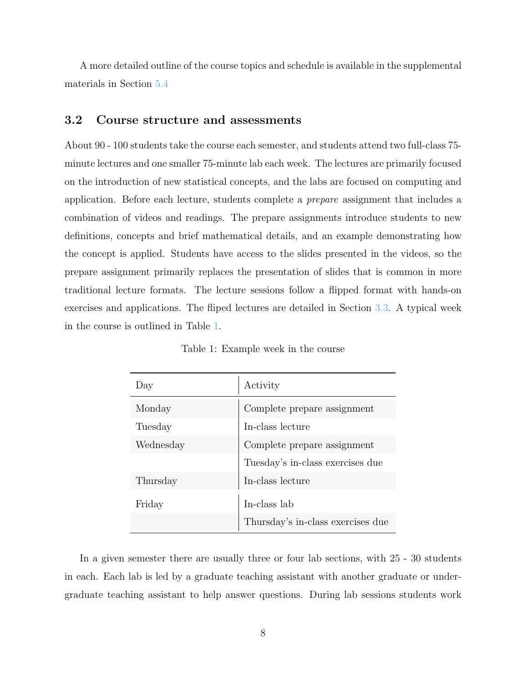A more detailed outline of the course topics and schedule is available in the supplemental materials in Section [5.4](#page-26-3)

## 3.2 Course structure and assessments

About 90 - 100 students take the course each semester, and students attend two full-class 75 minute lectures and one smaller 75-minute lab each week. The lectures are primarily focused on the introduction of new statistical concepts, and the labs are focused on computing and application. Before each lecture, students complete a prepare assignment that includes a combination of videos and readings. The prepare assignments introduce students to new definitions, concepts and brief mathematical details, and an example demonstrating how the concept is applied. Students have access to the slides presented in the videos, so the prepare assignment primarily replaces the presentation of slides that is common in more traditional lecture formats. The lecture sessions follow a flipped format with hands-on exercises and applications. The fliped lectures are detailed in Section [3.3.](#page-9-1) A typical week in the course is outlined in Table [1.](#page-7-0)

<span id="page-7-0"></span>

| Day       | Activity                          |
|-----------|-----------------------------------|
| Monday    | Complete prepare assignment       |
| Tuesday   | In-class lecture                  |
| Wednesday | Complete prepare assignment       |
|           | Tuesday's in-class exercises due  |
| Thursday  | In-class lecture                  |
| Friday    | In-class lab                      |
|           | Thursday's in-class exercises due |

Table 1: Example week in the course

In a given semester there are usually three or four lab sections, with 25 - 30 students in each. Each lab is led by a graduate teaching assistant with another graduate or undergraduate teaching assistant to help answer questions. During lab sessions students work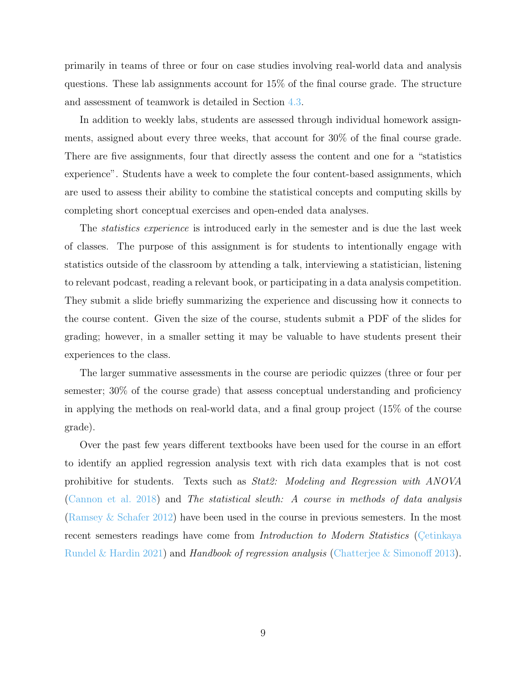primarily in teams of three or four on case studies involving real-world data and analysis questions. These lab assignments account for 15% of the final course grade. The structure and assessment of teamwork is detailed in Section [4.3.](#page-18-0)

In addition to weekly labs, students are assessed through individual homework assignments, assigned about every three weeks, that account for 30% of the final course grade. There are five assignments, four that directly assess the content and one for a "statistics experience". Students have a week to complete the four content-based assignments, which are used to assess their ability to combine the statistical concepts and computing skills by completing short conceptual exercises and open-ended data analyses.

The statistics experience is introduced early in the semester and is due the last week of classes. The purpose of this assignment is for students to intentionally engage with statistics outside of the classroom by attending a talk, interviewing a statistician, listening to relevant podcast, reading a relevant book, or participating in a data analysis competition. They submit a slide briefly summarizing the experience and discussing how it connects to the course content. Given the size of the course, students submit a PDF of the slides for grading; however, in a smaller setting it may be valuable to have students present their experiences to the class.

The larger summative assessments in the course are periodic quizzes (three or four per semester; 30% of the course grade) that assess conceptual understanding and proficiency in applying the methods on real-world data, and a final group project (15% of the course grade).

Over the past few years different textbooks have been used for the course in an effort to identify an applied regression analysis text with rich data examples that is not cost prohibitive for students. Texts such as Stat2: Modeling and Regression with ANOVA [\(Cannon et al.](#page-27-5) [2018\)](#page-27-5) and The statistical sleuth: A course in methods of data analysis [\(Ramsey & Schafer](#page-28-4) [2012\)](#page-28-4) have been used in the course in previous semesters. In the most recent semesters readings have come from *Introduction to Modern Statistics* (Cetinkaya [Rundel & Hardin](#page-27-6) [2021\)](#page-27-6) and *Handbook of regression analysis* [\(Chatterjee & Simonoff](#page-27-7) [2013\)](#page-27-7).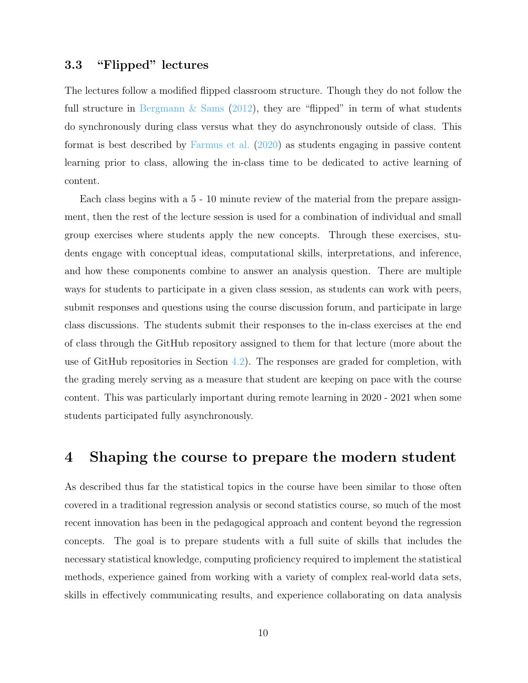## <span id="page-9-1"></span>3.3 "Flipped" lectures

The lectures follow a modified flipped classroom structure. Though they do not follow the full structure in Bergmann  $\&$  Sams [\(2012\)](#page-26-4), they are "flipped" in term of what students do synchronously during class versus what they do asynchronously outside of class. This format is best described by [Farmus et al.](#page-27-2) [\(2020\)](#page-27-2) as students engaging in passive content learning prior to class, allowing the in-class time to be dedicated to active learning of content.

Each class begins with a 5 - 10 minute review of the material from the prepare assignment, then the rest of the lecture session is used for a combination of individual and small group exercises where students apply the new concepts. Through these exercises, students engage with conceptual ideas, computational skills, interpretations, and inference, and how these components combine to answer an analysis question. There are multiple ways for students to participate in a given class session, as students can work with peers, submit responses and questions using the course discussion forum, and participate in large class discussions. The students submit their responses to the in-class exercises at the end of class through the GitHub repository assigned to them for that lecture (more about the use of GitHub repositories in Section [4.2\)](#page-15-0). The responses are graded for completion, with the grading merely serving as a measure that student are keeping on pace with the course content. This was particularly important during remote learning in 2020 - 2021 when some students participated fully asynchronously.

## <span id="page-9-0"></span>4 Shaping the course to prepare the modern student

As described thus far the statistical topics in the course have been similar to those often covered in a traditional regression analysis or second statistics course, so much of the most recent innovation has been in the pedagogical approach and content beyond the regression concepts. The goal is to prepare students with a full suite of skills that includes the necessary statistical knowledge, computing proficiency required to implement the statistical methods, experience gained from working with a variety of complex real-world data sets, skills in effectively communicating results, and experience collaborating on data analysis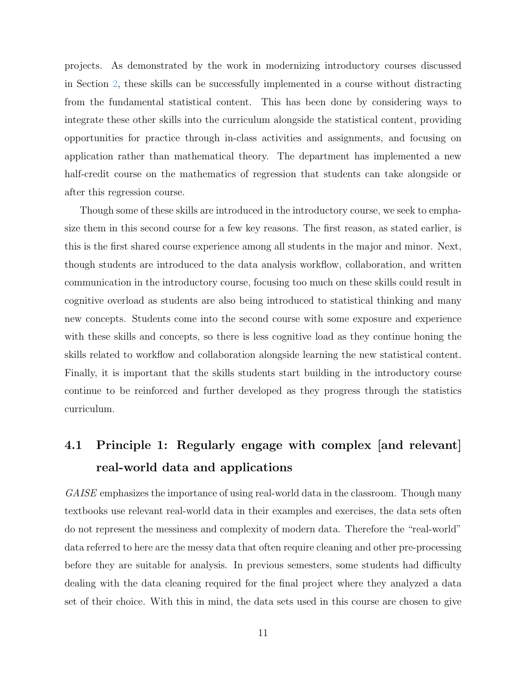projects. As demonstrated by the work in modernizing introductory courses discussed in Section [2,](#page-2-0) these skills can be successfully implemented in a course without distracting from the fundamental statistical content. This has been done by considering ways to integrate these other skills into the curriculum alongside the statistical content, providing opportunities for practice through in-class activities and assignments, and focusing on application rather than mathematical theory. The department has implemented a new half-credit course on the mathematics of regression that students can take alongside or after this regression course.

Though some of these skills are introduced in the introductory course, we seek to emphasize them in this second course for a few key reasons. The first reason, as stated earlier, is this is the first shared course experience among all students in the major and minor. Next, though students are introduced to the data analysis workflow, collaboration, and written communication in the introductory course, focusing too much on these skills could result in cognitive overload as students are also being introduced to statistical thinking and many new concepts. Students come into the second course with some exposure and experience with these skills and concepts, so there is less cognitive load as they continue honing the skills related to workflow and collaboration alongside learning the new statistical content. Finally, it is important that the skills students start building in the introductory course continue to be reinforced and further developed as they progress through the statistics curriculum.

# <span id="page-10-0"></span>4.1 Principle 1: Regularly engage with complex [and relevant] real-world data and applications

GAISE emphasizes the importance of using real-world data in the classroom. Though many textbooks use relevant real-world data in their examples and exercises, the data sets often do not represent the messiness and complexity of modern data. Therefore the "real-world" data referred to here are the messy data that often require cleaning and other pre-processing before they are suitable for analysis. In previous semesters, some students had difficulty dealing with the data cleaning required for the final project where they analyzed a data set of their choice. With this in mind, the data sets used in this course are chosen to give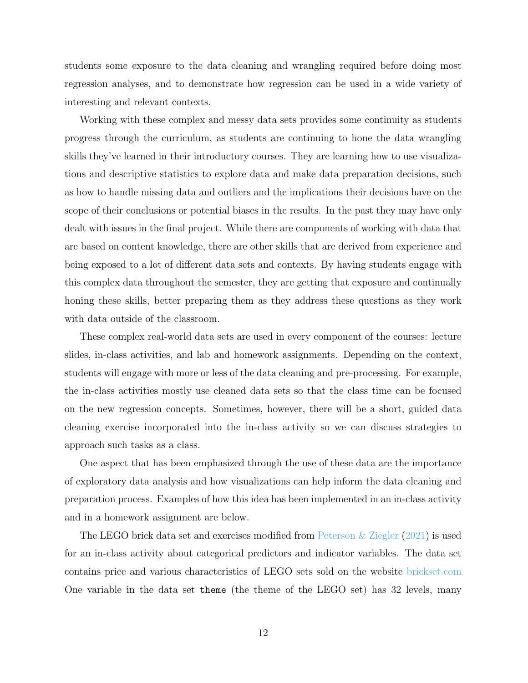students some exposure to the data cleaning and wrangling required before doing most regression analyses, and to demonstrate how regression can be used in a wide variety of interesting and relevant contexts.

Working with these complex and messy data sets provides some continuity as students progress through the curriculum, as students are continuing to hone the data wrangling skills they've learned in their introductory courses. They are learning how to use visualizations and descriptive statistics to explore data and make data preparation decisions, such as how to handle missing data and outliers and the implications their decisions have on the scope of their conclusions or potential biases in the results. In the past they may have only dealt with issues in the final project. While there are components of working with data that are based on content knowledge, there are other skills that are derived from experience and being exposed to a lot of different data sets and contexts. By having students engage with this complex data throughout the semester, they are getting that exposure and continually honing these skills, better preparing them as they address these questions as they work with data outside of the classroom.

These complex real-world data sets are used in every component of the courses: lecture slides, in-class activities, and lab and homework assignments. Depending on the context, students will engage with more or less of the data cleaning and pre-processing. For example, the in-class activities mostly use cleaned data sets so that the class time can be focused on the new regression concepts. Sometimes, however, there will be a short, guided data cleaning exercise incorporated into the in-class activity so we can discuss strategies to approach such tasks as a class.

One aspect that has been emphasized through the use of these data are the importance of exploratory data analysis and how visualizations can help inform the data cleaning and preparation process. Examples of how this idea has been implemented in an in-class activity and in a homework assignment are below.

The LEGO brick data set and exercises modified from [Peterson & Ziegler](#page-28-5) [\(2021\)](#page-28-5) is used for an in-class activity about categorical predictors and indicator variables. The data set contains price and various characteristics of LEGO sets sold on the website [brickset.com](https://www.brickset.com/) One variable in the data set theme (the theme of the LEGO set) has 32 levels, many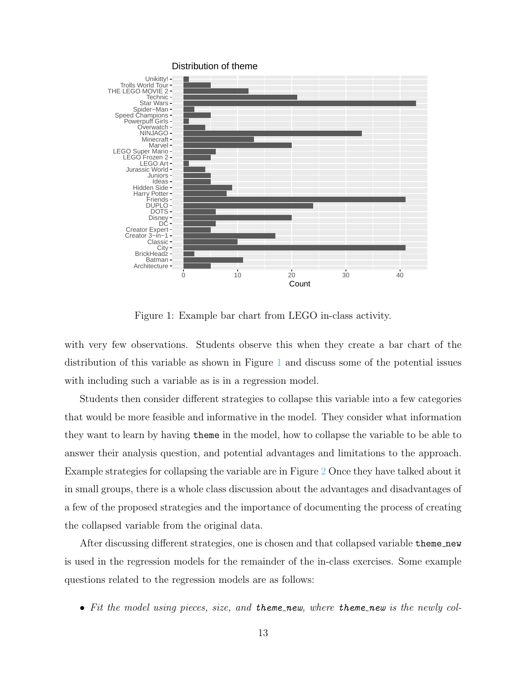

Figure 1: Example bar chart from LEGO in-class activity.

<span id="page-12-0"></span>with very few observations. Students observe this when they create a bar chart of the distribution of this variable as shown in Figure [1](#page-12-0) and discuss some of the potential issues with including such a variable as is in a regression model.

Students then consider different strategies to collapse this variable into a few categories that would be more feasible and informative in the model. They consider what information they want to learn by having theme in the model, how to collapse the variable to be able to answer their analysis question, and potential advantages and limitations to the approach. Example strategies for collapsing the variable are in Figure [2](#page-13-0) Once they have talked about it in small groups, there is a whole class discussion about the advantages and disadvantages of a few of the proposed strategies and the importance of documenting the process of creating the collapsed variable from the original data.

After discussing different strategies, one is chosen and that collapsed variable theme new is used in the regression models for the remainder of the in-class exercises. Some example questions related to the regression models are as follows:

• Fit the model using pieces, size, and theme new, where theme new is the newly col-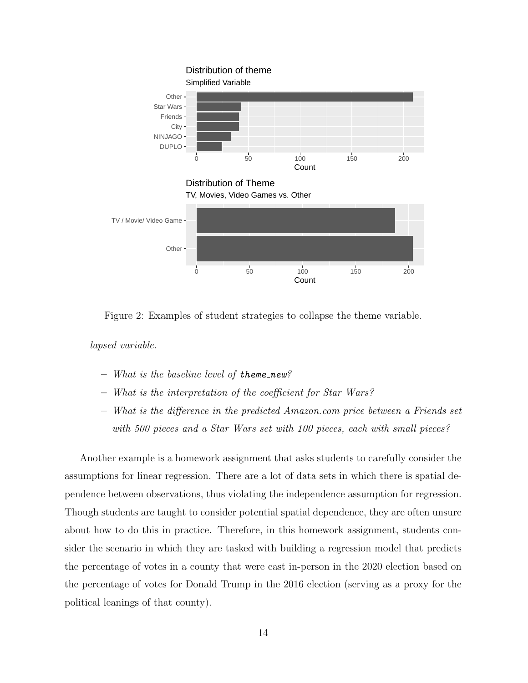

<span id="page-13-0"></span>Figure 2: Examples of student strategies to collapse the theme variable.

lapsed variable.

- $-$  What is the baseline level of theme\_new?
- What is the interpretation of the coefficient for Star Wars?
- What is the difference in the predicted Amazon.com price between a Friends set with 500 pieces and a Star Wars set with 100 pieces, each with small pieces?

Another example is a homework assignment that asks students to carefully consider the assumptions for linear regression. There are a lot of data sets in which there is spatial dependence between observations, thus violating the independence assumption for regression. Though students are taught to consider potential spatial dependence, they are often unsure about how to do this in practice. Therefore, in this homework assignment, students consider the scenario in which they are tasked with building a regression model that predicts the percentage of votes in a county that were cast in-person in the 2020 election based on the percentage of votes for Donald Trump in the 2016 election (serving as a proxy for the political leanings of that county).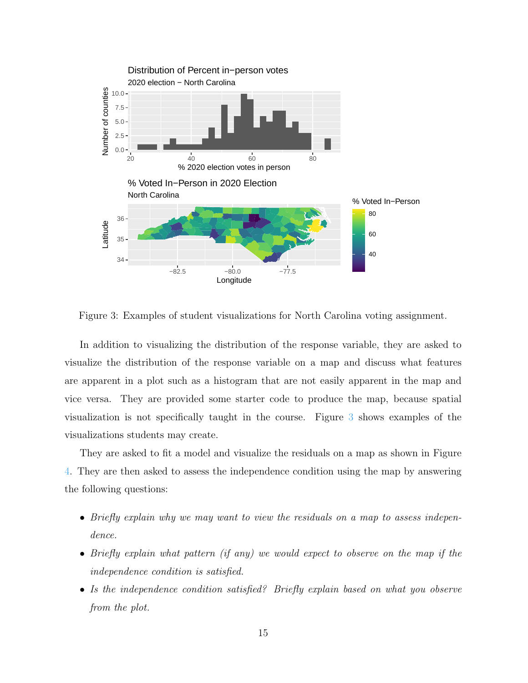

<span id="page-14-0"></span>Figure 3: Examples of student visualizations for North Carolina voting assignment.

In addition to visualizing the distribution of the response variable, they are asked to visualize the distribution of the response variable on a map and discuss what features are apparent in a plot such as a histogram that are not easily apparent in the map and vice versa. They are provided some starter code to produce the map, because spatial visualization is not specifically taught in the course. Figure [3](#page-14-0) shows examples of the visualizations students may create.

They are asked to fit a model and visualize the residuals on a map as shown in Figure [4.](#page-15-1) They are then asked to assess the independence condition using the map by answering the following questions:

- Briefly explain why we may want to view the residuals on a map to assess independence.
- Briefly explain what pattern (if any) we would expect to observe on the map if the independence condition is satisfied.
- Is the independence condition satisfied? Briefly explain based on what you observe from the plot.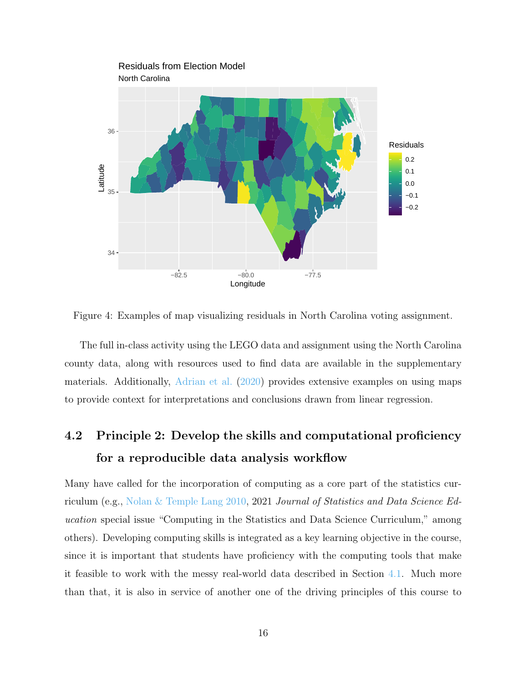

<span id="page-15-1"></span>Figure 4: Examples of map visualizing residuals in North Carolina voting assignment.

The full in-class activity using the LEGO data and assignment using the North Carolina county data, along with resources used to find data are available in the supplementary materials. Additionally, [Adrian et al.](#page-26-5) [\(2020\)](#page-26-5) provides extensive examples on using maps to provide context for interpretations and conclusions drawn from linear regression.

# <span id="page-15-0"></span>4.2 Principle 2: Develop the skills and computational proficiency for a reproducible data analysis workflow

Many have called for the incorporation of computing as a core part of the statistics curriculum (e.g., [Nolan & Temple Lang](#page-28-6) [2010,](#page-28-6) 2021 Journal of Statistics and Data Science Education special issue "Computing in the Statistics and Data Science Curriculum," among others). Developing computing skills is integrated as a key learning objective in the course, since it is important that students have proficiency with the computing tools that make it feasible to work with the messy real-world data described in Section [4.1.](#page-10-0) Much more than that, it is also in service of another one of the driving principles of this course to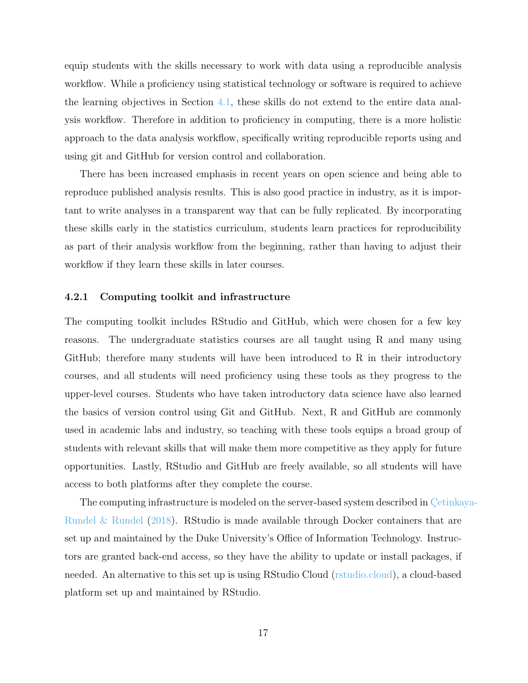equip students with the skills necessary to work with data using a reproducible analysis workflow. While a proficiency using statistical technology or software is required to achieve the learning objectives in Section [4.1,](#page-10-0) these skills do not extend to the entire data analysis workflow. Therefore in addition to proficiency in computing, there is a more holistic approach to the data analysis workflow, specifically writing reproducible reports using and using git and GitHub for version control and collaboration.

There has been increased emphasis in recent years on open science and being able to reproduce published analysis results. This is also good practice in industry, as it is important to write analyses in a transparent way that can be fully replicated. By incorporating these skills early in the statistics curriculum, students learn practices for reproducibility as part of their analysis workflow from the beginning, rather than having to adjust their workflow if they learn these skills in later courses.

### 4.2.1 Computing toolkit and infrastructure

The computing toolkit includes RStudio and GitHub, which were chosen for a few key reasons. The undergraduate statistics courses are all taught using R and many using GitHub; therefore many students will have been introduced to R in their introductory courses, and all students will need proficiency using these tools as they progress to the upper-level courses. Students who have taken introductory data science have also learned the basics of version control using Git and GitHub. Next, R and GitHub are commonly used in academic labs and industry, so teaching with these tools equips a broad group of students with relevant skills that will make them more competitive as they apply for future opportunities. Lastly, RStudio and GitHub are freely available, so all students will have access to both platforms after they complete the course.

The computing infrastructure is modeled on the server-based system described in Cetinkaya-[Rundel & Rundel](#page-27-8) [\(2018\)](#page-27-8). RStudio is made available through Docker containers that are set up and maintained by the Duke University's Office of Information Technology. Instructors are granted back-end access, so they have the ability to update or install packages, if needed. An alternative to this set up is using RStudio Cloud [\(rstudio.cloud\)](https://rstudio.cloud/%3E), a cloud-based platform set up and maintained by RStudio.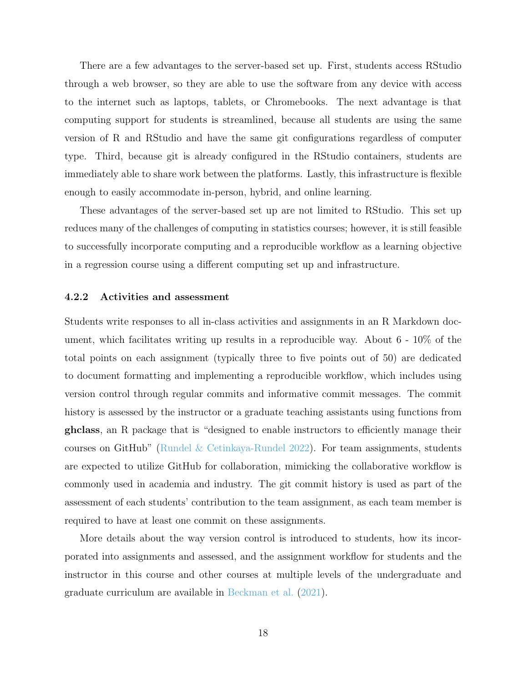There are a few advantages to the server-based set up. First, students access RStudio through a web browser, so they are able to use the software from any device with access to the internet such as laptops, tablets, or Chromebooks. The next advantage is that computing support for students is streamlined, because all students are using the same version of R and RStudio and have the same git configurations regardless of computer type. Third, because git is already configured in the RStudio containers, students are immediately able to share work between the platforms. Lastly, this infrastructure is flexible enough to easily accommodate in-person, hybrid, and online learning.

These advantages of the server-based set up are not limited to RStudio. This set up reduces many of the challenges of computing in statistics courses; however, it is still feasible to successfully incorporate computing and a reproducible workflow as a learning objective in a regression course using a different computing set up and infrastructure.

#### 4.2.2 Activities and assessment

Students write responses to all in-class activities and assignments in an R Markdown document, which facilitates writing up results in a reproducible way. About 6 - 10% of the total points on each assignment (typically three to five points out of 50) are dedicated to document formatting and implementing a reproducible workflow, which includes using version control through regular commits and informative commit messages. The commit history is assessed by the instructor or a graduate teaching assistants using functions from ghclass, an R package that is "designed to enable instructors to efficiently manage their courses on GitHub" [\(Rundel & Cetinkaya-Rundel](#page-28-7) [2022\)](#page-28-7). For team assignments, students are expected to utilize GitHub for collaboration, mimicking the collaborative workflow is commonly used in academia and industry. The git commit history is used as part of the assessment of each students' contribution to the team assignment, as each team member is required to have at least one commit on these assignments.

More details about the way version control is introduced to students, how its incorporated into assignments and assessed, and the assignment workflow for students and the instructor in this course and other courses at multiple levels of the undergraduate and graduate curriculum are available in [Beckman et al.](#page-26-6) [\(2021\)](#page-26-6).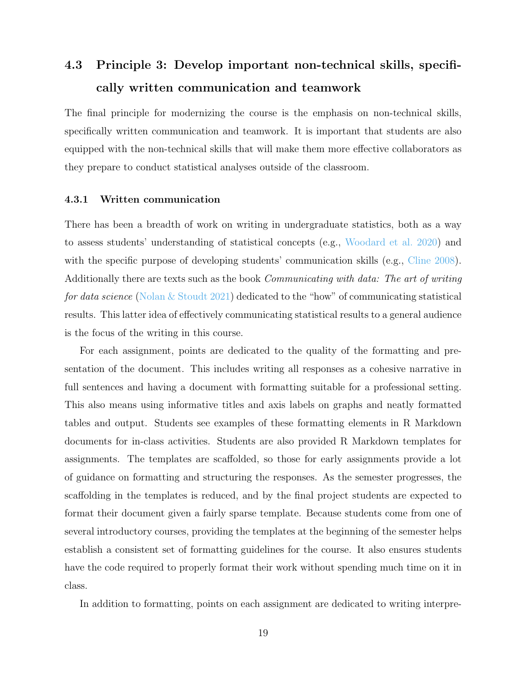# <span id="page-18-0"></span>4.3 Principle 3: Develop important non-technical skills, specifically written communication and teamwork

The final principle for modernizing the course is the emphasis on non-technical skills, specifically written communication and teamwork. It is important that students are also equipped with the non-technical skills that will make them more effective collaborators as they prepare to conduct statistical analyses outside of the classroom.

#### 4.3.1 Written communication

There has been a breadth of work on writing in undergraduate statistics, both as a way to assess students' understanding of statistical concepts (e.g., [Woodard et al.](#page-28-8) [2020\)](#page-28-8) and with the specific purpose of developing students' communication skills (e.g., [Cline](#page-27-9) [2008\)](#page-27-9). Additionally there are texts such as the book Communicating with data: The art of writing for data science [\(Nolan & Stoudt](#page-28-9) [2021\)](#page-28-9) dedicated to the "how" of communicating statistical results. This latter idea of effectively communicating statistical results to a general audience is the focus of the writing in this course.

For each assignment, points are dedicated to the quality of the formatting and presentation of the document. This includes writing all responses as a cohesive narrative in full sentences and having a document with formatting suitable for a professional setting. This also means using informative titles and axis labels on graphs and neatly formatted tables and output. Students see examples of these formatting elements in R Markdown documents for in-class activities. Students are also provided R Markdown templates for assignments. The templates are scaffolded, so those for early assignments provide a lot of guidance on formatting and structuring the responses. As the semester progresses, the scaffolding in the templates is reduced, and by the final project students are expected to format their document given a fairly sparse template. Because students come from one of several introductory courses, providing the templates at the beginning of the semester helps establish a consistent set of formatting guidelines for the course. It also ensures students have the code required to properly format their work without spending much time on it in class.

In addition to formatting, points on each assignment are dedicated to writing interpre-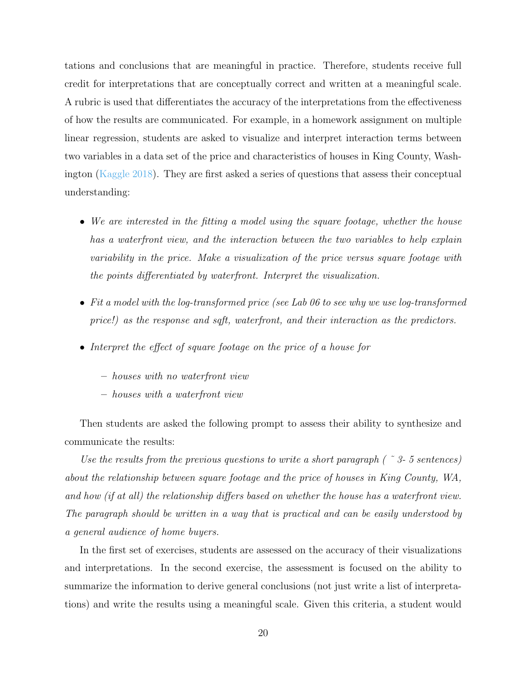tations and conclusions that are meaningful in practice. Therefore, students receive full credit for interpretations that are conceptually correct and written at a meaningful scale. A rubric is used that differentiates the accuracy of the interpretations from the effectiveness of how the results are communicated. For example, in a homework assignment on multiple linear regression, students are asked to visualize and interpret interaction terms between two variables in a data set of the price and characteristics of houses in King County, Washington [\(Kaggle](#page-28-10) [2018\)](#page-28-10). They are first asked a series of questions that assess their conceptual understanding:

- We are interested in the fitting a model using the square footage, whether the house has a waterfront view, and the interaction between the two variables to help explain variability in the price. Make a visualization of the price versus square footage with the points differentiated by waterfront. Interpret the visualization.
- Fit a model with the log-transformed price (see Lab 06 to see why we use log-transformed price!) as the response and sqft, waterfront, and their interaction as the predictors.
- Interpret the effect of square footage on the price of a house for
	- houses with no waterfront view
	- houses with a waterfront view

Then students are asked the following prompt to assess their ability to synthesize and communicate the results:

Use the results from the previous questions to write a short paragraph ( $\degree$  3-5 sentences) about the relationship between square footage and the price of houses in King County, WA, and how (if at all) the relationship differs based on whether the house has a waterfront view. The paragraph should be written in a way that is practical and can be easily understood by a general audience of home buyers.

In the first set of exercises, students are assessed on the accuracy of their visualizations and interpretations. In the second exercise, the assessment is focused on the ability to summarize the information to derive general conclusions (not just write a list of interpretations) and write the results using a meaningful scale. Given this criteria, a student would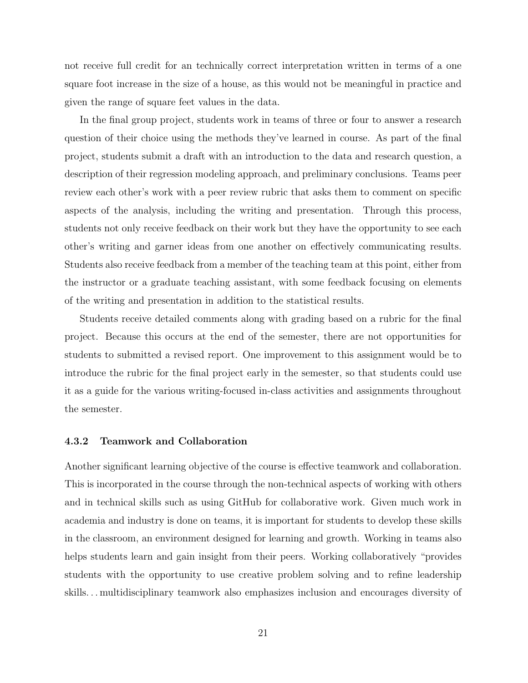not receive full credit for an technically correct interpretation written in terms of a one square foot increase in the size of a house, as this would not be meaningful in practice and given the range of square feet values in the data.

In the final group project, students work in teams of three or four to answer a research question of their choice using the methods they've learned in course. As part of the final project, students submit a draft with an introduction to the data and research question, a description of their regression modeling approach, and preliminary conclusions. Teams peer review each other's work with a peer review rubric that asks them to comment on specific aspects of the analysis, including the writing and presentation. Through this process, students not only receive feedback on their work but they have the opportunity to see each other's writing and garner ideas from one another on effectively communicating results. Students also receive feedback from a member of the teaching team at this point, either from the instructor or a graduate teaching assistant, with some feedback focusing on elements of the writing and presentation in addition to the statistical results.

Students receive detailed comments along with grading based on a rubric for the final project. Because this occurs at the end of the semester, there are not opportunities for students to submitted a revised report. One improvement to this assignment would be to introduce the rubric for the final project early in the semester, so that students could use it as a guide for the various writing-focused in-class activities and assignments throughout the semester.

#### 4.3.2 Teamwork and Collaboration

Another significant learning objective of the course is effective teamwork and collaboration. This is incorporated in the course through the non-technical aspects of working with others and in technical skills such as using GitHub for collaborative work. Given much work in academia and industry is done on teams, it is important for students to develop these skills in the classroom, an environment designed for learning and growth. Working in teams also helps students learn and gain insight from their peers. Working collaboratively "provides students with the opportunity to use creative problem solving and to refine leadership skills. . . multidisciplinary teamwork also emphasizes inclusion and encourages diversity of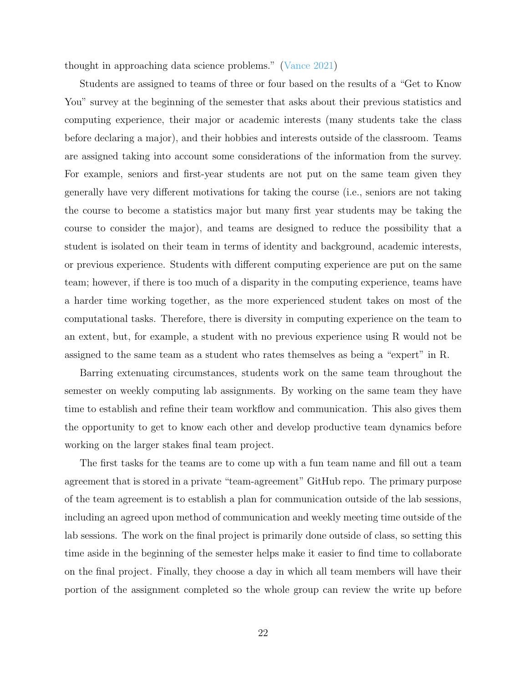thought in approaching data science problems." [\(Vance](#page-28-11) [2021\)](#page-28-11)

Students are assigned to teams of three or four based on the results of a "Get to Know You" survey at the beginning of the semester that asks about their previous statistics and computing experience, their major or academic interests (many students take the class before declaring a major), and their hobbies and interests outside of the classroom. Teams are assigned taking into account some considerations of the information from the survey. For example, seniors and first-year students are not put on the same team given they generally have very different motivations for taking the course (i.e., seniors are not taking the course to become a statistics major but many first year students may be taking the course to consider the major), and teams are designed to reduce the possibility that a student is isolated on their team in terms of identity and background, academic interests, or previous experience. Students with different computing experience are put on the same team; however, if there is too much of a disparity in the computing experience, teams have a harder time working together, as the more experienced student takes on most of the computational tasks. Therefore, there is diversity in computing experience on the team to an extent, but, for example, a student with no previous experience using R would not be assigned to the same team as a student who rates themselves as being a "expert" in R.

Barring extenuating circumstances, students work on the same team throughout the semester on weekly computing lab assignments. By working on the same team they have time to establish and refine their team workflow and communication. This also gives them the opportunity to get to know each other and develop productive team dynamics before working on the larger stakes final team project.

The first tasks for the teams are to come up with a fun team name and fill out a team agreement that is stored in a private "team-agreement" GitHub repo. The primary purpose of the team agreement is to establish a plan for communication outside of the lab sessions, including an agreed upon method of communication and weekly meeting time outside of the lab sessions. The work on the final project is primarily done outside of class, so setting this time aside in the beginning of the semester helps make it easier to find time to collaborate on the final project. Finally, they choose a day in which all team members will have their portion of the assignment completed so the whole group can review the write up before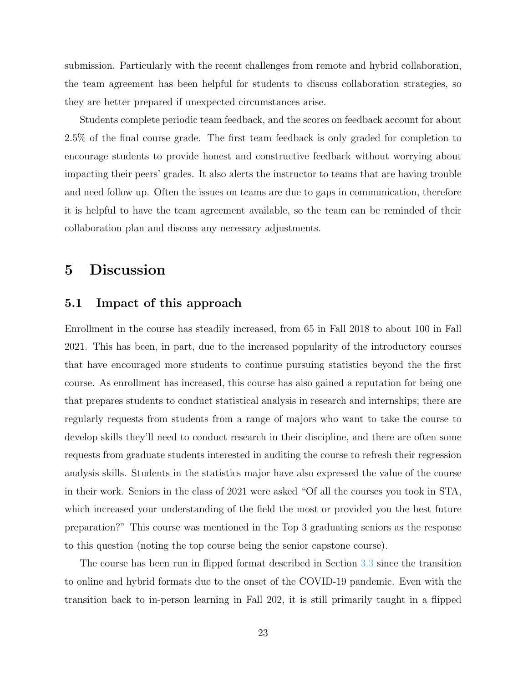submission. Particularly with the recent challenges from remote and hybrid collaboration, the team agreement has been helpful for students to discuss collaboration strategies, so they are better prepared if unexpected circumstances arise.

Students complete periodic team feedback, and the scores on feedback account for about 2.5% of the final course grade. The first team feedback is only graded for completion to encourage students to provide honest and constructive feedback without worrying about impacting their peers' grades. It also alerts the instructor to teams that are having trouble and need follow up. Often the issues on teams are due to gaps in communication, therefore it is helpful to have the team agreement available, so the team can be reminded of their collaboration plan and discuss any necessary adjustments.

# <span id="page-22-0"></span>5 Discussion

## 5.1 Impact of this approach

Enrollment in the course has steadily increased, from 65 in Fall 2018 to about 100 in Fall 2021. This has been, in part, due to the increased popularity of the introductory courses that have encouraged more students to continue pursuing statistics beyond the the first course. As enrollment has increased, this course has also gained a reputation for being one that prepares students to conduct statistical analysis in research and internships; there are regularly requests from students from a range of majors who want to take the course to develop skills they'll need to conduct research in their discipline, and there are often some requests from graduate students interested in auditing the course to refresh their regression analysis skills. Students in the statistics major have also expressed the value of the course in their work. Seniors in the class of 2021 were asked "Of all the courses you took in STA, which increased your understanding of the field the most or provided you the best future preparation?" This course was mentioned in the Top 3 graduating seniors as the response to this question (noting the top course being the senior capstone course).

The course has been run in flipped format described in Section [3.3](#page-9-1) since the transition to online and hybrid formats due to the onset of the COVID-19 pandemic. Even with the transition back to in-person learning in Fall 202, it is still primarily taught in a flipped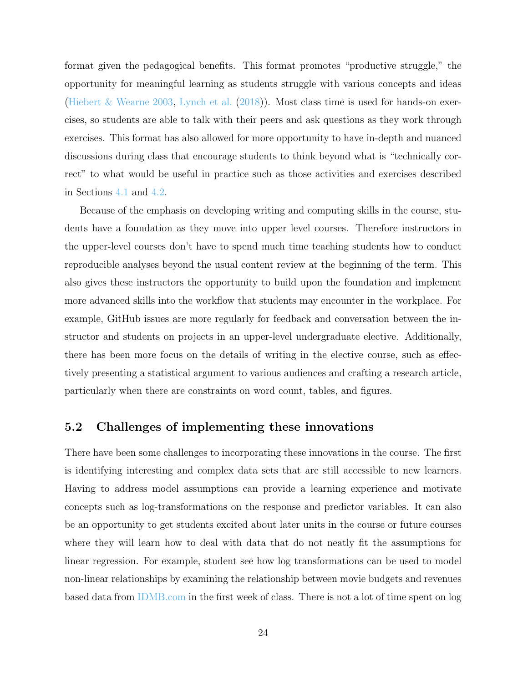format given the pedagogical benefits. This format promotes "productive struggle," the opportunity for meaningful learning as students struggle with various concepts and ideas [\(Hiebert & Wearne](#page-27-10) [2003,](#page-27-10) [Lynch et al.](#page-28-12) [\(2018\)](#page-28-12)). Most class time is used for hands-on exercises, so students are able to talk with their peers and ask questions as they work through exercises. This format has also allowed for more opportunity to have in-depth and nuanced discussions during class that encourage students to think beyond what is "technically correct" to what would be useful in practice such as those activities and exercises described in Sections [4.1](#page-10-0) and [4.2.](#page-15-0)

Because of the emphasis on developing writing and computing skills in the course, students have a foundation as they move into upper level courses. Therefore instructors in the upper-level courses don't have to spend much time teaching students how to conduct reproducible analyses beyond the usual content review at the beginning of the term. This also gives these instructors the opportunity to build upon the foundation and implement more advanced skills into the workflow that students may encounter in the workplace. For example, GitHub issues are more regularly for feedback and conversation between the instructor and students on projects in an upper-level undergraduate elective. Additionally, there has been more focus on the details of writing in the elective course, such as effectively presenting a statistical argument to various audiences and crafting a research article, particularly when there are constraints on word count, tables, and figures.

## 5.2 Challenges of implementing these innovations

There have been some challenges to incorporating these innovations in the course. The first is identifying interesting and complex data sets that are still accessible to new learners. Having to address model assumptions can provide a learning experience and motivate concepts such as log-transformations on the response and predictor variables. It can also be an opportunity to get students excited about later units in the course or future courses where they will learn how to deal with data that do not neatly fit the assumptions for linear regression. For example, student see how log transformations can be used to model non-linear relationships by examining the relationship between movie budgets and revenues based data from [IDMB.com](https://www.imdb.com) in the first week of class. There is not a lot of time spent on log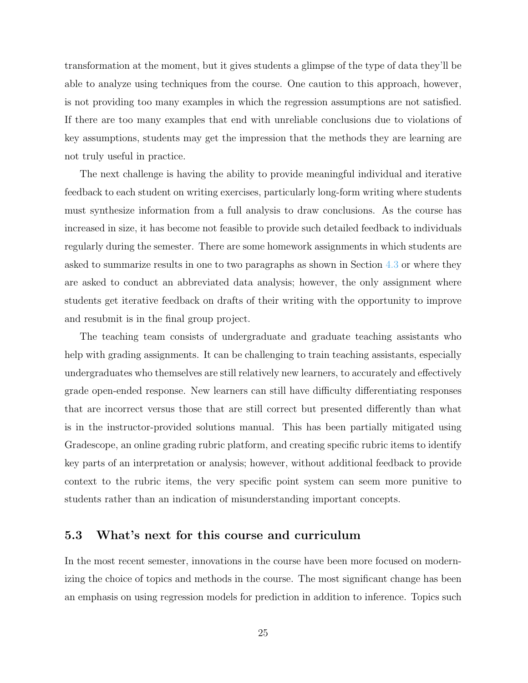transformation at the moment, but it gives students a glimpse of the type of data they'll be able to analyze using techniques from the course. One caution to this approach, however, is not providing too many examples in which the regression assumptions are not satisfied. If there are too many examples that end with unreliable conclusions due to violations of key assumptions, students may get the impression that the methods they are learning are not truly useful in practice.

The next challenge is having the ability to provide meaningful individual and iterative feedback to each student on writing exercises, particularly long-form writing where students must synthesize information from a full analysis to draw conclusions. As the course has increased in size, it has become not feasible to provide such detailed feedback to individuals regularly during the semester. There are some homework assignments in which students are asked to summarize results in one to two paragraphs as shown in Section [4.3](#page-18-0) or where they are asked to conduct an abbreviated data analysis; however, the only assignment where students get iterative feedback on drafts of their writing with the opportunity to improve and resubmit is in the final group project.

The teaching team consists of undergraduate and graduate teaching assistants who help with grading assignments. It can be challenging to train teaching assistants, especially undergraduates who themselves are still relatively new learners, to accurately and effectively grade open-ended response. New learners can still have difficulty differentiating responses that are incorrect versus those that are still correct but presented differently than what is in the instructor-provided solutions manual. This has been partially mitigated using Gradescope, an online grading rubric platform, and creating specific rubric items to identify key parts of an interpretation or analysis; however, without additional feedback to provide context to the rubric items, the very specific point system can seem more punitive to students rather than an indication of misunderstanding important concepts.

## 5.3 What's next for this course and curriculum

In the most recent semester, innovations in the course have been more focused on modernizing the choice of topics and methods in the course. The most significant change has been an emphasis on using regression models for prediction in addition to inference. Topics such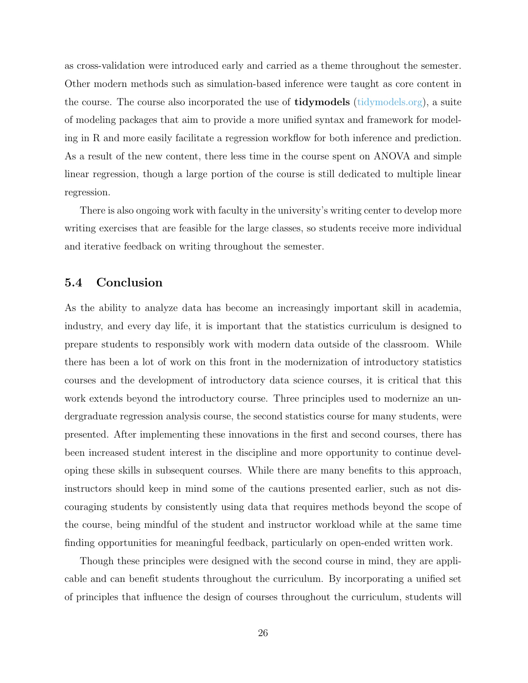as cross-validation were introduced early and carried as a theme throughout the semester. Other modern methods such as simulation-based inference were taught as core content in the course. The course also incorporated the use of **tidymodels** [\(tidymodels.org\)](https://www.tidymodels.org/), a suite of modeling packages that aim to provide a more unified syntax and framework for modeling in R and more easily facilitate a regression workflow for both inference and prediction. As a result of the new content, there less time in the course spent on ANOVA and simple linear regression, though a large portion of the course is still dedicated to multiple linear regression.

There is also ongoing work with faculty in the university's writing center to develop more writing exercises that are feasible for the large classes, so students receive more individual and iterative feedback on writing throughout the semester.

### 5.4 Conclusion

As the ability to analyze data has become an increasingly important skill in academia, industry, and every day life, it is important that the statistics curriculum is designed to prepare students to responsibly work with modern data outside of the classroom. While there has been a lot of work on this front in the modernization of introductory statistics courses and the development of introductory data science courses, it is critical that this work extends beyond the introductory course. Three principles used to modernize an undergraduate regression analysis course, the second statistics course for many students, were presented. After implementing these innovations in the first and second courses, there has been increased student interest in the discipline and more opportunity to continue developing these skills in subsequent courses. While there are many benefits to this approach, instructors should keep in mind some of the cautions presented earlier, such as not discouraging students by consistently using data that requires methods beyond the scope of the course, being mindful of the student and instructor workload while at the same time finding opportunities for meaningful feedback, particularly on open-ended written work.

Though these principles were designed with the second course in mind, they are applicable and can benefit students throughout the curriculum. By incorporating a unified set of principles that influence the design of courses throughout the curriculum, students will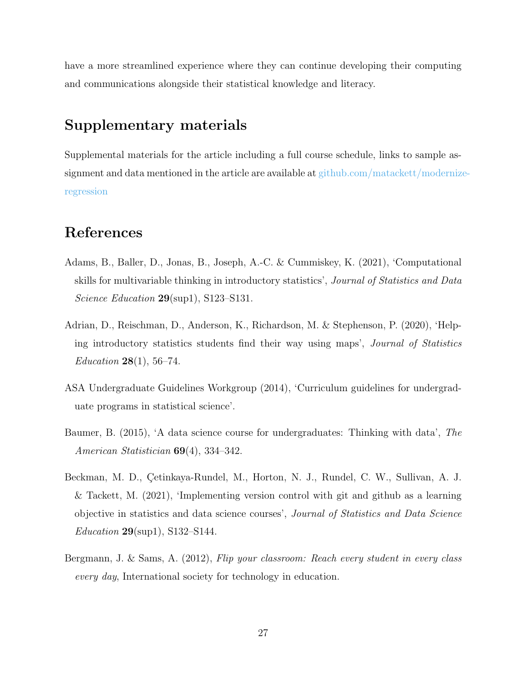have a more streamlined experience where they can continue developing their computing and communications alongside their statistical knowledge and literacy.

# <span id="page-26-3"></span>Supplementary materials

Supplemental materials for the article including a full course schedule, links to sample assignment and data mentioned in the article are available at [github.com/matackett/moderniz](https://github.com/matackett/modernize-regression)e[regression](https://github.com/matackett/modernize-regression)

# References

- <span id="page-26-1"></span>Adams, B., Baller, D., Jonas, B., Joseph, A.-C. & Cummiskey, K. (2021), 'Computational skills for multivariable thinking in introductory statistics', Journal of Statistics and Data Science Education 29(sup1), S123-S131.
- <span id="page-26-5"></span>Adrian, D., Reischman, D., Anderson, K., Richardson, M. & Stephenson, P. (2020), 'Helping introductory statistics students find their way using maps', Journal of Statistics *Education* 28(1), 56–74.
- <span id="page-26-0"></span>ASA Undergraduate Guidelines Workgroup (2014), 'Curriculum guidelines for undergraduate programs in statistical science'.
- <span id="page-26-2"></span>Baumer, B. (2015), 'A data science course for undergraduates: Thinking with data', The American Statistician 69(4), 334–342.
- <span id="page-26-6"></span>Beckman, M. D., Çetinkaya-Rundel, M., Horton, N. J., Rundel, C. W., Sullivan, A. J. & Tackett, M. (2021), 'Implementing version control with git and github as a learning objective in statistics and data science courses', Journal of Statistics and Data Science Education 29(sup1), S132–S144.
- <span id="page-26-4"></span>Bergmann, J. & Sams, A. (2012), Flip your classroom: Reach every student in every class every day, International society for technology in education.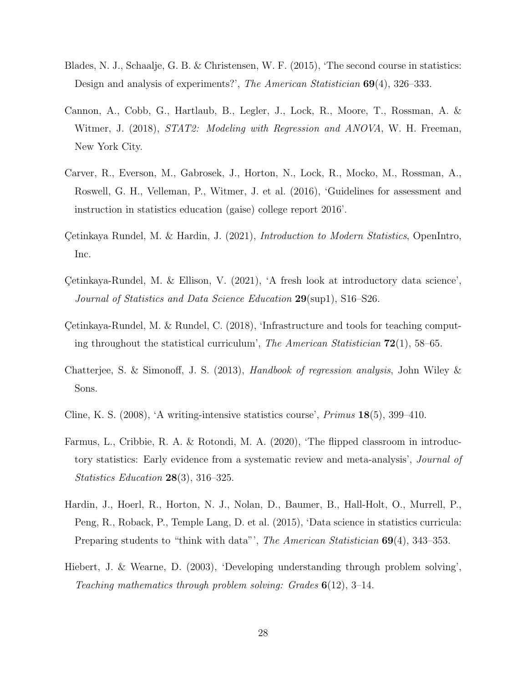- <span id="page-27-4"></span>Blades, N. J., Schaalje, G. B. & Christensen, W. F. (2015), 'The second course in statistics: Design and analysis of experiments?', The American Statistician 69(4), 326–333.
- <span id="page-27-5"></span>Cannon, A., Cobb, G., Hartlaub, B., Legler, J., Lock, R., Moore, T., Rossman, A. & Witmer, J. (2018), *STAT2: Modeling with Regression and ANOVA*, W. H. Freeman, New York City.
- <span id="page-27-0"></span>Carver, R., Everson, M., Gabrosek, J., Horton, N., Lock, R., Mocko, M., Rossman, A., Roswell, G. H., Velleman, P., Witmer, J. et al. (2016), 'Guidelines for assessment and instruction in statistics education (gaise) college report 2016'.
- <span id="page-27-6"></span>Cetinkaya Rundel, M. & Hardin, J. (2021), *Introduction to Modern Statistics*, OpenIntro, Inc.
- <span id="page-27-1"></span>Cetinkaya-Rundel, M. & Ellison, V.  $(2021)$ , 'A fresh look at introductory data science', Journal of Statistics and Data Science Education 29(sup1), S16–S26.
- <span id="page-27-8"></span>Cetinkaya-Rundel, M. & Rundel, C.  $(2018)$ , 'Infrastructure and tools for teaching computing throughout the statistical curriculum', The American Statistician  $72(1)$ , 58–65.
- <span id="page-27-7"></span>Chatterjee, S. & Simonoff, J. S. (2013), Handbook of regression analysis, John Wiley & Sons.
- <span id="page-27-9"></span>Cline, K. S. (2008), 'A writing-intensive statistics course', Primus 18(5), 399–410.
- <span id="page-27-2"></span>Farmus, L., Cribbie, R. A. & Rotondi, M. A. (2020), 'The flipped classroom in introductory statistics: Early evidence from a systematic review and meta-analysis', Journal of Statistics Education  $28(3)$ , 316–325.
- <span id="page-27-3"></span>Hardin, J., Hoerl, R., Horton, N. J., Nolan, D., Baumer, B., Hall-Holt, O., Murrell, P., Peng, R., Roback, P., Temple Lang, D. et al. (2015), 'Data science in statistics curricula: Preparing students to "think with data"', The American Statistician 69(4), 343-353.
- <span id="page-27-10"></span>Hiebert, J. & Wearne, D. (2003), 'Developing understanding through problem solving', Teaching mathematics through problem solving: Grades  $6(12)$ , 3-14.